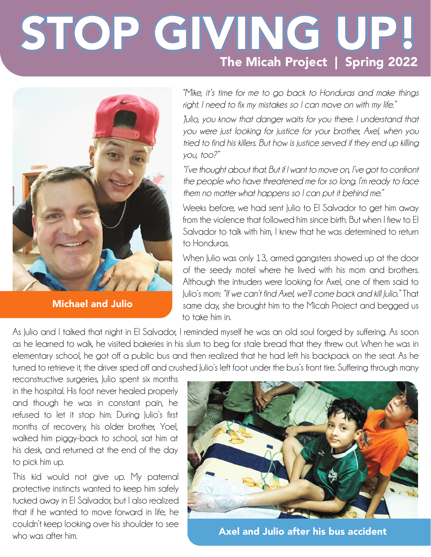## STOP GIVING UP! The Micah Project | Spring 2022



Michael and Julio

*"Mike, it's time for me to go back to Honduras and make things right. I need to fix my mistakes so I can move on with my life."*

*"Julio, you know that danger waits for you there. I understand that you were just looking for justice for your brother, Axel, when you tried to find his killers. But how is justice served if they end up killing you, too?"*

*"I've thought about that. But if I want to move on, I've got to confront the people who have threatened me for so long. I'm ready to face them no matter what happens so I can put it behind me."* 

Weeks before, we had sent Julio to El Salvador to get him away from the violence that followed him since birth. But when I flew to El Salvador to talk with him, I knew that he was determined to return to Honduras.

When Julio was only 13, armed gangsters showed up at the door of the seedy motel where he lived with his mom and brothers. Although the intruders were looking for Axel, one of them said to Julio's mom: *"If we can't find Axel, we'll come back and kill Julio."* That same day, she brought him to the Micah Project and begged us to take him in.

As lulio and I talked that night in El Salvador, I reminded myself he was an old soul forged by suffering. As soon as he learned to walk, he visited bakeries in his slum to beg for stale bread that they threw out. When he was in elementary school, he got off a public bus and then realized that he had left his backpack on the seat. As he turned to retrieve it, the driver sped off and crushed Julio's left foot under the bus's front tire. Suffering through many

reconstructive surgeries, Julio spent six months in the hospital. His foot never healed properly and though he was in constant pain, he refused to let it stop him. During Julio's first months of recovery, his older brother, Yoel, walked him piggy-back to school, sat him at his desk, and returned at the end of the day to pick him up.

This kid would not give up. My paternal protective instincts wanted to keep him safely tucked away in El Salvador, but I also realized that if he wanted to move forward in life, he couldn't keep looking over his shoulder to see who was after him.



Axel and Julio after his bus accident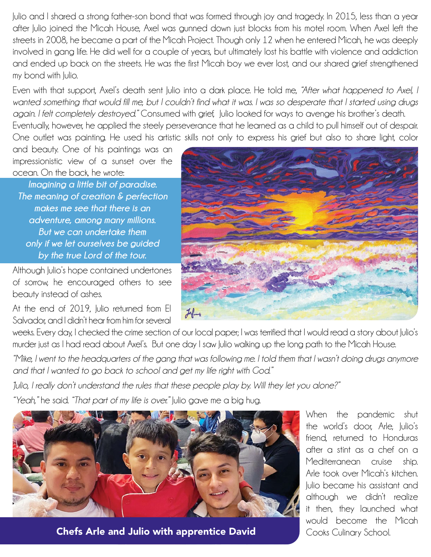Julio and I shared a strong father-son bond that was formed through joy and tragedy. In 2015, less than a year after Julio joined the Micah House, Axel was gunned down just blocks from his motel room. When Axel left the streets in 2008, he became a part of the Micah Project. Though only 12 when he entered Micah, he was deeply involved in gang life. He did well for a couple of years, but ultimately lost his battle with violence and addiction and ended up back on the streets. He was the first Micah boy we ever lost, and our shared grief strengthened my bond with Julio.

Even with that support, Axel's death sent Julio into a dark place. He told me, *"After what happened to Axel, I wanted something that would fill me, but I couldn't find what it was. I was so desperate that I started using drugs again. I felt completely destroyed."* Consumed with grief, Julio looked for ways to avenge his brother's death. Eventually, however, he applied the steely perseverance that he learned as a child to pull himself out of despair. One outlet was painting. He used his artistic skills not only to express his grief but also to share light, color

and beauty. One of his paintings was an impressionistic view of a sunset over the ocean. On the back, he wrote:

*Imagining a little bit of paradise. The meaning of creation & perfection makes me see that there is an adventure, among many millions. But we can undertake them only if we let ourselves be guided by the true Lord of the tour.*

Although Julio's hope contained undertones of sorrow, he encouraged others to see beauty instead of ashes.

At the end of 2019, Julio returned from El Salvador, and I didn't hear from him for several



weeks. Every day, I checked the crime section of our local paper; I was terrified that I would read a story about Julio's murder just as I had read about Axel's. But one day I saw Julio walking up the long path to the Micah House.

*"Mike, I went to the headquarters of the gang that was following me. I told them that I wasn't doing drugs anymore and that I wanted to go back to school and get my life right with God."* 

*"Julio, I really don't understand the rules that these people play by. Will they let you alone?"*

*"Yeah,"* he said. *"That part of my life is over."* Julio gave me a big hug.



Chefs Arle and Julio with apprentice David Cooks Culinary School.

When the pandemic shut the world's door, Arle, Iulio's friend, returned to Honduras after a stint as a chef on a Mediterranean cruise ship. Arle took over Micah's kitchen. Julio became his assistant and although we didn't realize it then, they launched what would become the Micah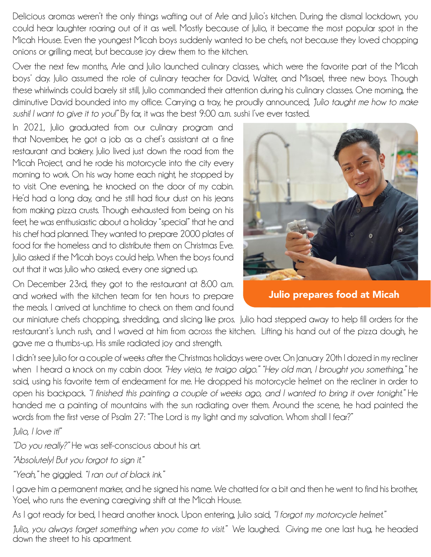Delicious aromas weren't the only things wafting out of Arle and Julio's kitchen. During the dismal lockdown, you could hear laughter roaring out of it as well. Mostly because of Julio, it became the most popular spot in the Micah House. Even the youngest Micah boys suddenly wanted to be chefs, not because they loved chopping onions or grilling meat, but because joy drew them to the kitchen.

Over the next few months, Arle and Julio launched culinary classes, which were the favorite part of the Micah boys' day. Julio assumed the role of culinary teacher for David, Walter, and Misael, three new boys. Though these whirlwinds could barely sit still, Julio commanded their attention during his culinary classes. One morning, the diminutive David bounded into my office. Carrying a tray, he proudly announced, *"Julio taught me how to make sushi! I want to give it to you!"* By far, it was the best 9:00 a.m. sushi I've ever tasted.

In 2021, Julio graduated from our culinary program and that November, he got a job as a chef's assistant at a fine restaurant and bakery. Julio lived just down the road from the Micah Project, and he rode his motorcycle into the city every morning to work. On his way home each night, he stopped by to visit. One evening, he knocked on the door of my cabin. He'd had a long day, and he still had flour dust on his jeans from making pizza crusts. Though exhausted from being on his feet, he was enthusiastic about a holiday "special" that he and his chef had planned. They wanted to prepare 2000 plates of food for the homeless and to distribute them on Christmas Eve. Julio asked if the Micah boys could help. When the boys found out that it was Julio who asked, every one signed up.

On December 23rd, they got to the restaurant at 8:00 a.m. and worked with the kitchen team for ten hours to prepare the meals. I arrived at lunchtime to check on them and found



Julio prepares food at Micah

our miniature chefs chopping, shredding, and slicing like pros. Julio had stepped away to help fill orders for the restaurant's lunch rush, and I waved at him from across the kitchen. Lifting his hand out of the pizza dough, he gave me a thumbs-up. His smile radiated joy and strength.

I didn't see Julio for a couple of weeks after the Christmas holidays were over. On January 20th I dozed in my recliner when I heard a knock on my cabin door. *"Hey viejo, te traigo algo." "Hey old man, I brought you something,"* he said, using his favorite term of endearment for me. He dropped his motorcycle helmet on the recliner in order to open his backpack. *"I finished this painting a couple of weeks ago, and I wanted to bring it over tonight."* He handed me a painting of mountains with the sun radiating over them. Around the scene, he had painted the words from the first verse of Psalm 27: "The Lord is my light and my salvation. Whom shall I fear?"

*"Julio, I love it!"*

*"Do you really?"* He was self-conscious about his art.

*"Absolutely! But you forgot to sign it."* 

*"Yeah,"* he giggled. *"I ran out of black ink."*

I gave him a permanent marker, and he signed his name. We chatted for a bit and then he went to find his brother, Yoel, who runs the evening caregiving shift at the Micah House.

As I got ready for bed, I heard another knock. Upon entering, Julio said, *"I forgot my motorcycle helmet."*

*"Julio, you always forget something when you come to visit."* We laughed. Giving me one last hug, he headed down the street to his apartment.